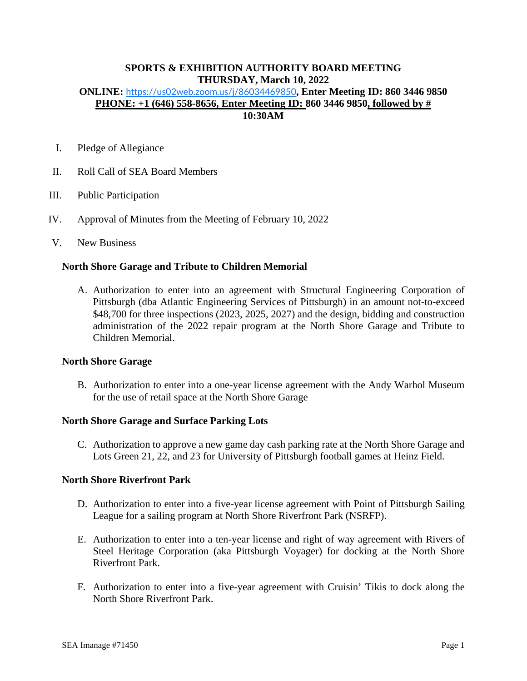# **SPORTS & EXHIBITION AUTHORITY BOARD MEETING THURSDAY, March 10, 2022**

### **ONLINE:** <https://us02web.zoom.us/j/86034469850>**, Enter Meeting ID: 860 3446 9850 PHONE: +1 (646) 558-8656, Enter Meeting ID: 860 3446 9850, followed by # 10:30AM**

- I. Pledge of Allegiance
- II. Roll Call of SEA Board Members
- III. Public Participation
- IV. Approval of Minutes from the Meeting of February 10, 2022
- V. New Business

#### **North Shore Garage and Tribute to Children Memorial**

A. Authorization to enter into an agreement with Structural Engineering Corporation of Pittsburgh (dba Atlantic Engineering Services of Pittsburgh) in an amount not-to-exceed \$48,700 for three inspections (2023, 2025, 2027) and the design, bidding and construction administration of the 2022 repair program at the North Shore Garage and Tribute to Children Memorial.

#### **North Shore Garage**

B. Authorization to enter into a one-year license agreement with the Andy Warhol Museum for the use of retail space at the North Shore Garage

#### **North Shore Garage and Surface Parking Lots**

C. Authorization to approve a new game day cash parking rate at the North Shore Garage and Lots Green 21, 22, and 23 for University of Pittsburgh football games at Heinz Field.

#### **North Shore Riverfront Park**

- D. Authorization to enter into a five-year license agreement with Point of Pittsburgh Sailing League for a sailing program at North Shore Riverfront Park (NSRFP).
- E. Authorization to enter into a ten-year license and right of way agreement with Rivers of Steel Heritage Corporation (aka Pittsburgh Voyager) for docking at the North Shore Riverfront Park.
- F. Authorization to enter into a five-year agreement with Cruisin' Tikis to dock along the North Shore Riverfront Park.